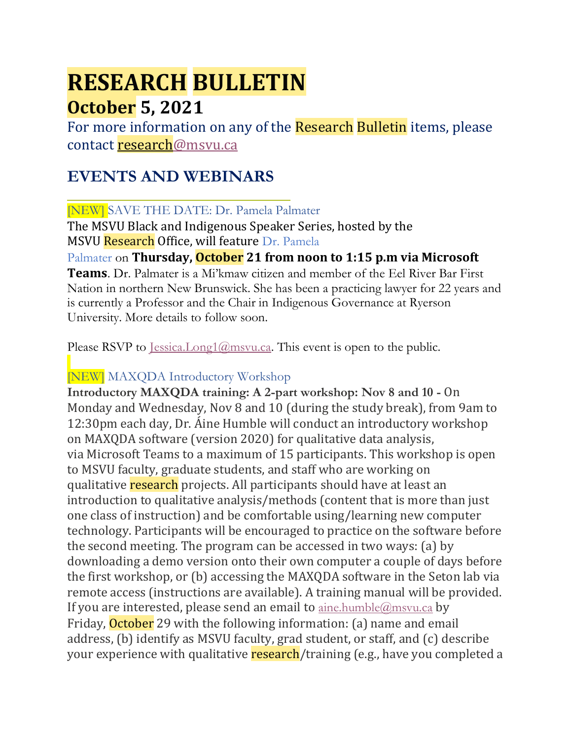# **RESEARCH BULLETIN October 5, 2021**

For more information on any of the Research Bulletin items, please contact [research@msvu.ca](mailto:research@msvu.ca)

## **EVENTS AND WEBINARS**

## [NEW] SAVE THE DATE: Dr. Pamela Palmater

The MSVU Black and Indigenous Speaker Series, hosted by the MSVU Research Office, will feature Dr. Pamela

## Palmater on **Thursday, October 21 from noon to 1:15 p.m via Microsoft**

**Teams**. Dr. Palmater is a Mi'kmaw citizen and member of the Eel River Bar First Nation in northern New Brunswick. She has been a practicing lawyer for 22 years and is currently a Professor and the Chair in Indigenous Governance at Ryerson University. More details to follow soon.

Please RSVP to  $Iessica.Long1@msvu.ca.$  This event is open to the public.

## [NEW] MAXQDA Introductory Workshop

**Introductory MAXQDA training: A 2-part workshop: Nov 8 and 10 -** On Monday and Wednesday, Nov 8 and 10 (during the study break), from 9am to 12:30pm each day, Dr. Áine Humble will conduct an introductory workshop on MAXQDA software (version 2020) for qualitative data analysis, via Microsoft Teams to a maximum of 15 participants. This workshop is open to MSVU faculty, graduate students, and staff who are working on qualitative research projects. All participants should have at least an introduction to qualitative analysis/methods (content that is more than just one class of instruction) and be comfortable using/learning new computer technology. Participants will be encouraged to practice on the software before the second meeting. The program can be accessed in two ways: (a) by downloading a demo version onto their own computer a couple of days before the first workshop, or (b) accessing the MAXQDA software in the Seton lab via remote access (instructions are available). A training manual will be provided. If you are interested, please send an email to  $\Delta m$  ine.humble  $\omega$  m svu.ca by Friday, **October** 29 with the following information: (a) name and email address, (b) identify as MSVU faculty, grad student, or staff, and (c) describe your experience with qualitative **research**/training (e.g., have you completed a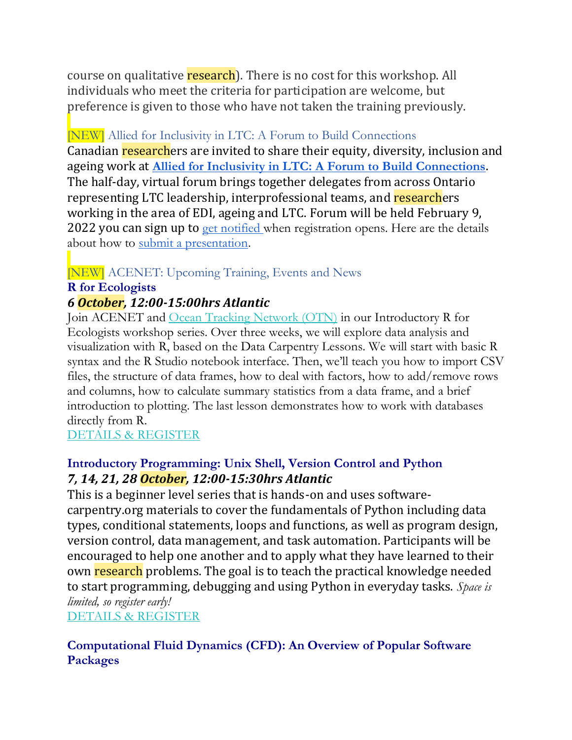course on qualitative research). There is no cost for this workshop. All individuals who meet the criteria for participation are welcome, but preference is given to those who have not taken the training previously.

#### [NEW] Allied for Inclusivity in LTC: A Forum to Build Connections

Canadian researchers are invited to share their equity, diversity, inclusion and ageing work at **[Allied for Inclusivity in LTC: A Forum to Build Connections](https://clri-ltc.ca/events/allied-for-inclusivity/)**. The half-day, virtual forum brings together delegates from across Ontario representing LTC leadership, interprofessional teams, and researchers working in the area of EDI, ageing and LTC. Forum will be held February 9, 2022 you can sign up to [get notified](https://lp.constantcontactpages.com/su/Hmpkw14/diversityforum) when registration opens. Here are the details about how to [submit a presentation.](https://clri-ltc.ca/2021/08/call-for-presentations/)

## [NEW] ACENET: Upcoming Training, Events and News

#### **R for Ecologists**

#### *6 October, 12:00-15:00hrs Atlantic*

Join ACENET and [Ocean Tracking Network \(OTN\)](https://oceantrackingnetwork.org/) in our Introductory R for Ecologists workshop series. Over three weeks, we will explore data analysis and visualization with R, based on the Data Carpentry Lessons. We will start with basic R syntax and the R Studio notebook interface. Then, we'll teach you how to import CSV files, the structure of data frames, how to deal with factors, how to add/remove rows and columns, how to calculate summary statistics from a data frame, and a brief introduction to plotting. The last lesson demonstrates how to work with databases directly from R.

#### [DETAILS & REGISTER](https://www.eventbrite.ca/e/acenet-and-ocean-tracking-network-r-for-ecologists-tickets-170720679147)

#### **Introductory Programming: Unix Shell, Version Control and Python** *7, 14, 21, 28 October, 12:00-15:30hrs Atlantic*

This is a beginner level series that is hands-on and uses softwarecarpentry.org materials to cover the fundamentals of Python including data types, conditional statements, loops and functions, as well as program design, version control, data management, and task automation. Participants will be encouraged to help one another and to apply what they have learned to their own research problems. The goal is to teach the practical knowledge needed to start programming, debugging and using Python in everyday tasks. *Space is limited, so register early!*

[DETAILS & REGISTER](https://acceleratediscovery.us3.list-manage.com/track/click?u=2f8c75f0071fbe1aed5a7d0e3&id=c079189035&e=6014c0790c)

#### **Computational Fluid Dynamics (CFD): An Overview of Popular Software Packages**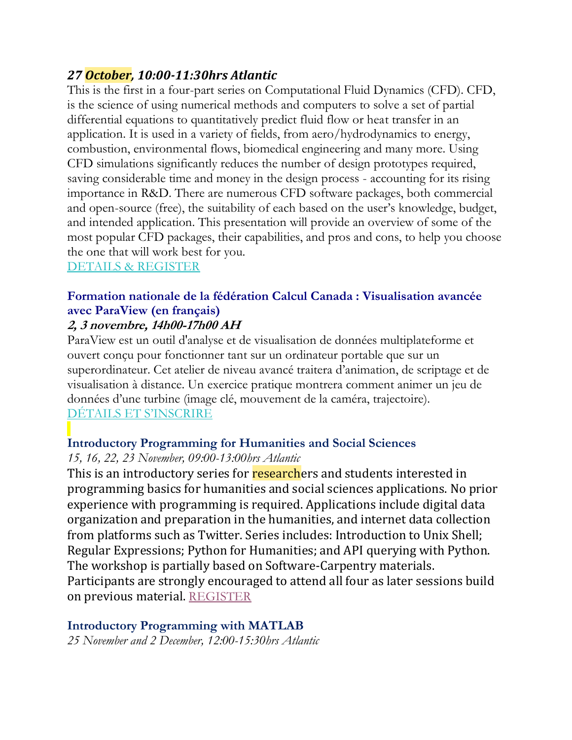## *27 October, 10:00-11:30hrs Atlantic*

This is the first in a four-part series on Computational Fluid Dynamics (CFD). CFD, is the science of using numerical methods and computers to solve a set of partial differential equations to quantitatively predict fluid flow or heat transfer in an application. It is used in a variety of fields, from aero/hydrodynamics to energy, combustion, environmental flows, biomedical engineering and many more. Using CFD simulations significantly reduces the number of design prototypes required, saving considerable time and money in the design process - accounting for its rising importance in R&D. There are numerous CFD software packages, both commercial and open-source (free), the suitability of each based on the user's knowledge, budget, and intended application. This presentation will provide an overview of some of the most popular CFD packages, their capabilities, and pros and cons, to help you choose the one that will work best for you.

#### [DETAILS & REGISTER](https://acceleratediscovery.us3.list-manage.com/track/click?u=2f8c75f0071fbe1aed5a7d0e3&id=8e8e577e3f&e=6014c0790c)

## **Formation nationale de la fédération Calcul Canada : Visualisation avancée avec ParaView (en français)**

## **2, 3 novembre, 14h00-17h00 AH**

ParaView est un outil d'analyse et de visualisation de données multiplateforme et ouvert conçu pour fonctionner tant sur un ordinateur portable que sur un superordinateur. Cet atelier de niveau avancé traitera d'animation, de scriptage et de visualisation à distance. Un exercice pratique montrera comment animer un jeu de données d'une turbine (image clé, mouvement de la caméra, trajectoire). [DÉTAILS ET S'INSCRIRE](https://acceleratediscovery.us3.list-manage.com/track/click?u=2f8c75f0071fbe1aed5a7d0e3&id=56beca74aa&e=6014c0790c)

#### **Introductory Programming for Humanities and Social Sciences**

#### *15, 16, 22, 23 November, 09:00-13:00hrs Atlantic*

This is an introductory series for researchers and students interested in programming basics for humanities and social sciences applications. No prior experience with programming is required. Applications include digital data organization and preparation in the humanities, and internet data collection from platforms such as Twitter. Series includes: Introduction to Unix Shell; Regular Expressions; Python for Humanities; and API querying with Python. The workshop is partially based on Software-Carpentry materials. Participants are strongly encouraged to attend all four as later sessions build on previous material. [REGISTER](https://www.eventbrite.ca/e/acenet-introductory-programming-for-humanities-social-science-tickets-171337704687)

#### **Introductory Programming with MATLAB**

*25 November and 2 December, 12:00-15:30hrs Atlantic*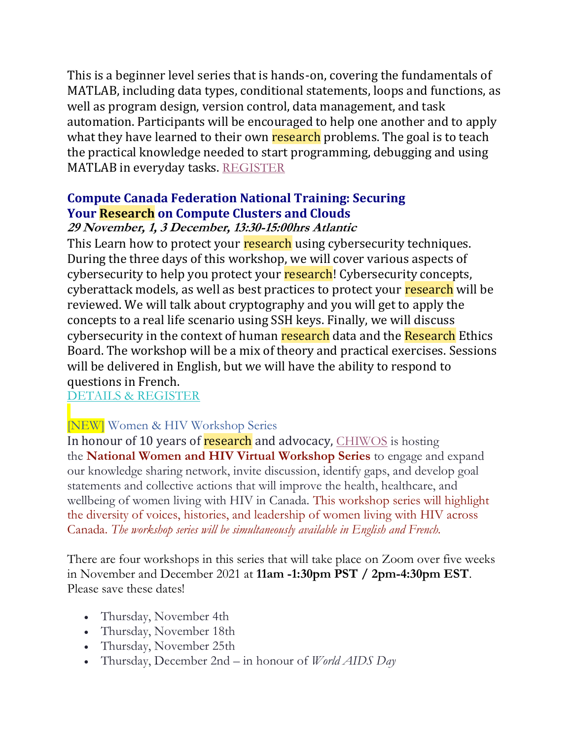This is a beginner level series that is hands-on, covering the fundamentals of MATLAB, including data types, conditional statements, loops and functions, as well as program design, version control, data management, and task automation. Participants will be encouraged to help one another and to apply what they have learned to their own research problems. The goal is to teach the practical knowledge needed to start programming, debugging and using MATLAB in everyday tasks. [REGISTER](https://www.eventbrite.ca/e/acenet-introductory-programming-with-matlab-tickets-171330202247)

## **Compute Canada Federation National Training: Securing Your Research on Compute Clusters and Clouds**

#### **29 November, 1, 3 December, 13:30-15:00hrs Atlantic**

This Learn how to protect your research using cybersecurity techniques. During the three days of this workshop, we will cover various aspects of cybersecurity to help you protect your research! Cybersecurity concepts, cyberattack models, as well as best practices to protect your research will be reviewed. We will talk about cryptography and you will get to apply the concepts to a real life scenario using SSH keys. Finally, we will discuss cybersecurity in the context of human research data and the Research Ethics Board. The workshop will be a mix of theory and practical exercises. Sessions will be delivered in English, but we will have the ability to respond to questions in French.

#### [DETAILS & REGISTER](https://acceleratediscovery.us3.list-manage.com/track/click?u=2f8c75f0071fbe1aed5a7d0e3&id=e431b72b1e&e=6014c0790c)

#### [NEW] Women & HIV Workshop Series

In honour of 10 years of **research** and advocacy, [CHIWOS](https://can01.safelinks.protection.outlook.com/?url=http%3A%2F%2Fwww.chiwos.ca%2F&data=04%7C01%7CPriscilla.Medeiros%40wchospital.ca%7Cdb806dc412b34a4f1aeb08d973b4bdef%7C26033a94b4704c0bae8b58ee1d2eea24%7C0%7C0%7C637668042376807836%7CUnknown%7CTWFpbGZsb3d8eyJWIjoiMC4wLjAwMDAiLCJQIjoiV2luMzIiLCJBTiI6Ik1haWwiLCJXVCI6Mn0%3D%7C1000&sdata=k6VXndQVCda3IbqXlDnQUq%2B9PKuvkbpcntXAMAZCVck%3D&reserved=0) is hosting the **National Women and HIV Virtual Workshop Series** to engage and expand our knowledge sharing network, invite discussion, identify gaps, and develop goal statements and collective actions that will improve the health, healthcare, and wellbeing of women living with HIV in Canada. This workshop series will highlight the diversity of voices, histories, and leadership of women living with HIV across Canada. *The workshop series will be simultaneously available in English and French.*

There are four workshops in this series that will take place on Zoom over five weeks in November and December 2021 at **11am -1:30pm PST / 2pm-4:30pm EST**. Please save these dates!

- Thursday, November 4th
- Thursday, November 18th
- Thursday, November 25th
- Thursday, December 2nd in honour of *World AIDS Day*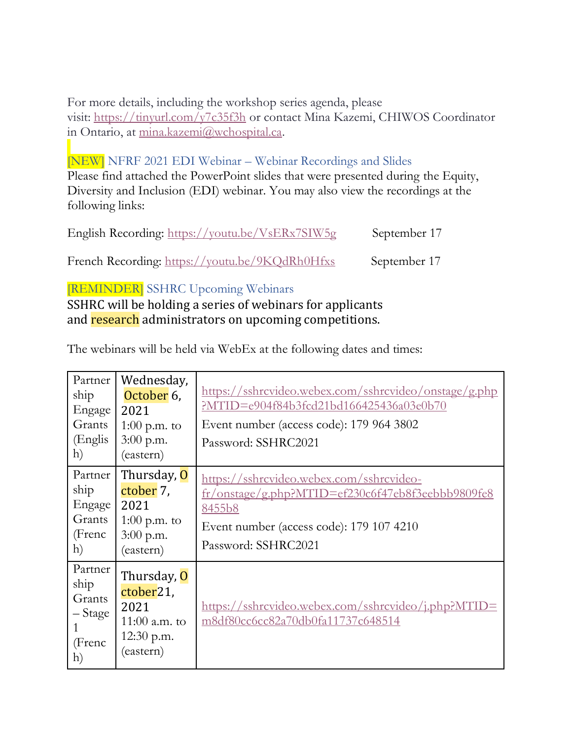For more details, including the workshop series agenda, please visit: [https://tinyurl.com/y7c35f3h](https://can01.safelinks.protection.outlook.com/?url=https%3A%2F%2Ftinyurl.com%2Fy7c35f3h&data=04%7C01%7CPriscilla.Medeiros%40wchospital.ca%7Cdb806dc412b34a4f1aeb08d973b4bdef%7C26033a94b4704c0bae8b58ee1d2eea24%7C0%7C0%7C637668042376807836%7CUnknown%7CTWFpbGZsb3d8eyJWIjoiMC4wLjAwMDAiLCJQIjoiV2luMzIiLCJBTiI6Ik1haWwiLCJXVCI6Mn0%3D%7C1000&sdata=Dj8L%2FpBtRDDy23oImeCLr2xfHpQoT39bQftRjKLshRI%3D&reserved=0) or contact Mina Kazemi, CHIWOS Coordinator in Ontario, at [mina.kazemi@wchospital.ca.](mailto:mina.kazemi@wchospital.ca)

#### [NEW] NFRF 2021 EDI Webinar – Webinar Recordings and Slides

Please find attached the PowerPoint slides that were presented during the Equity, Diversity and Inclusion (EDI) webinar. You may also view the recordings at the following links:

| English Recording: https://youtu.be/VsERx7SIW5g | September 17 |
|-------------------------------------------------|--------------|
|                                                 |              |

French Recording: [https://youtu.be/9KQdRh0Hfxs](https://can01.safelinks.protection.outlook.com/?url=https%3A%2F%2Fyoutu.be%2F9KQdRh0Hfxs&data=04%7C01%7CSahir.Dewji%40SSHRC-CRSH.GC.CA%7C85413e425c5a4eb2f3fd08d97a12f291%7Cfbef079820e34be7bdc8372032610f65%7C1%7C0%7C637675044057860381%7CUnknown%7CTWFpbGZsb3d8eyJWIjoiMC4wLjAwMDAiLCJQIjoiV2luMzIiLCJBTiI6Ik1haWwiLCJXVCI6Mn0%3D%7C1000&sdata=a6MkvPACi0Ikg%2BrCQRwZFAjUEWPFQBPJ8nSqDZnDhDI%3D&reserved=0) September 17

#### [REMINDER] SSHRC Upcoming Webinars

SSHRC will be holding a series of webinars for applicants and research administrators on upcoming competitions.

The webinars will be held via WebEx at the following dates and times:

| Partner<br>ship<br>Engage<br>Grants<br>(Englis<br>h)                | Wednesday,<br>October 6,<br>2021<br>$1:00$ p.m. to<br>$3:00$ p.m.<br>(eastern)                | https://sshrcvideo.webex.com/sshrcvideo/onstage/g.php<br>?MTID=e904f84b3fcd21bd166425436a03e0b70<br>Event number (access code): 179 964 3802<br>Password: SSHRC2021        |
|---------------------------------------------------------------------|-----------------------------------------------------------------------------------------------|----------------------------------------------------------------------------------------------------------------------------------------------------------------------------|
| Partner<br>ship<br>Engage<br>Grants<br>(Frenc<br>h)                 | Thursday, O<br>ctober 7,<br>2021<br>$1:00$ p.m. to<br>3:00 p.m.<br>(eastern)                  | https://sshrcvideo.webex.com/sshrcvideo-<br>fr/onstage/g.php?MTID=ef230c6f47eb8f3eebbb9809fe8<br>8455b8<br>Event number (access code): 179 107 4210<br>Password: SSHRC2021 |
| Partner<br>ship<br>Grants<br>– Stage<br>1<br>(Frenc<br>$\mathbf{h}$ | Thursday, O<br>ctober <sub>21</sub> ,<br>2021<br>11:00 $a.m.$ to<br>$12:30$ p.m.<br>(eastern) | https://sshrcvideo.webex.com/sshrcvideo/j.php?MTID=<br>m8df80cc6cc82a70db0fa11737c648514                                                                                   |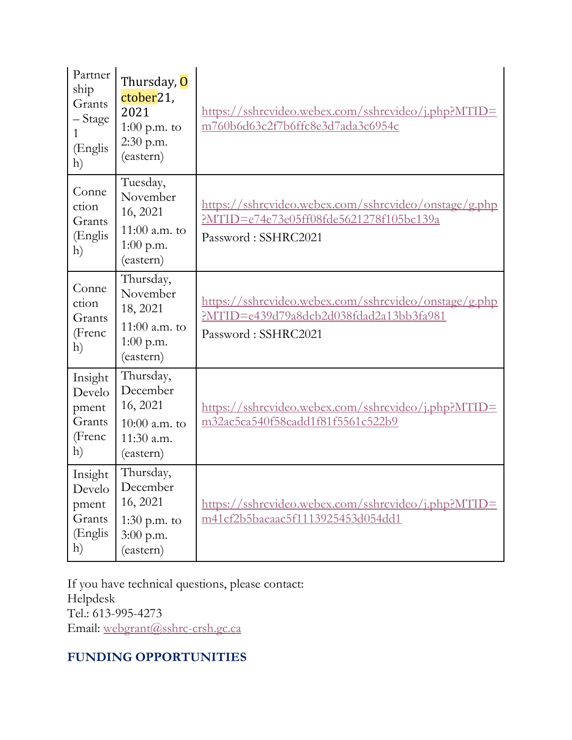| Partner<br>ship<br>Grants<br>- Stage<br>1<br>(Englis<br>h) | Thursday, O<br>ctober <sub>21</sub> ,<br>2021<br>$1:00$ p.m. to<br>2:30 p.m.<br>(eastern) | https://sshrcvideo.webex.com/sshrcvideo/j.php?MTID=<br>m760b6d63c2f7b6ffc8e3d7ada3c6954c                                |
|------------------------------------------------------------|-------------------------------------------------------------------------------------------|-------------------------------------------------------------------------------------------------------------------------|
| Conne<br>ction<br>Grants<br>(Englis<br>h)                  | Tuesday,<br>November<br>16, 2021<br>11:00 $a.m.$ to<br>$1:00$ p.m.<br>(eastern)           | https://sshrcvideo.webex.com/sshrcvideo/onstage/g.php<br>PMTID=e74e73e05ff08fde5621278f105bc139a<br>Password: SSHRC2021 |
| Conne<br>ction<br>Grants<br>(Frenc<br>h)                   | Thursday,<br>November<br>18, 2021<br>11:00 a.m. to<br>$1:00$ p.m.<br>(eastern)            | https://sshrcvideo.webex.com/sshrcvideo/onstage/g.php<br>PMTID=e439d79a8dcb2d038fdad2a13bb3fa981<br>Password: SSHRC2021 |
| Insight<br>Develo<br>pment<br>Grants<br>(Frenc<br>h)       | Thursday,<br>December<br>16, 2021<br>10:00 $a.m.$ to<br>11:30 a.m.<br>(eastern)           | https://sshrcvideo.webex.com/sshrcvideo/j.php?MTID=<br>m32ac5ca540f58cadd1f81f5561c522b9                                |
| Insight<br>Develo<br>pment<br>Grants<br>(Englis<br>h)      | Thursday,<br>December<br>16, 2021<br>1:30 p.m. to<br>$3:00$ p.m.<br>(eastern)             | https://sshrcvideo.webex.com/sshrcvideo/j.php?MTID=<br>m41cf2b5baeaac5f1113925453d054dd1                                |

If you have technical questions, please contact: Helpdesk Tel.: 613-995-4273 Email: [webgrant@sshrc-crsh.gc.ca](/ottanvdifs01/VDI_UserData/axt/AppData/Roaming/OpenText/OTEdit/enterprise-enterprise/c56073388/webgrant@sshrc-crsh.gc.ca)

#### **FUNDING OPPORTUNITIES**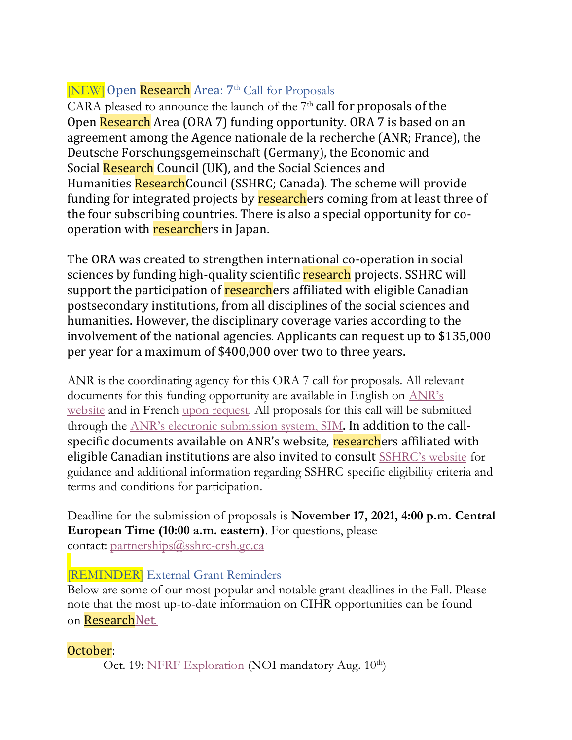## [NEW] Open Research Area: 7<sup>th</sup> Call for Proposals

CARA pleased to announce the launch of the  $7<sup>th</sup>$  call for proposals of the Open Research Area (ORA 7) funding opportunity. ORA 7 is based on an agreement among the Agence nationale de la recherche (ANR; France), the Deutsche Forschungsgemeinschaft (Germany), the Economic and Social Research Council (UK), and the Social Sciences and Humanities ResearchCouncil (SSHRC; Canada). The scheme will provide funding for integrated projects by researchers coming from at least three of the four subscribing countries. There is also a special opportunity for cooperation with researchers in Japan.

The ORA was created to strengthen international co-operation in social sciences by funding high-quality scientific research projects. SSHRC will support the participation of researchers affiliated with eligible Canadian postsecondary institutions, from all disciplines of the social sciences and humanities. However, the disciplinary coverage varies according to the involvement of the national agencies. Applicants can request up to \$135,000 per year for a maximum of \$400,000 over two to three years.

ANR is the coordinating agency for this ORA 7 call for proposals. All relevant documents for this funding opportunity are available in English on [AN](https://can01.safelinks.protection.outlook.com/?url=https%3A%2F%2Fanr.fr%2Fen%2Fcall-for-proposals-details%2Fcall%2Fopen-research-area-for-the-social-sciences-seventh-call-for-proposals-2021%2F&data=04%7C01%7CPPOD-DPOP%40SSHRC-CRSH.GC.CA%7Cbff25ca6a7924e2b3ffd08d972d9415b%7Cfbef079820e34be7bdc8372032610f65%7C1%7C0%7C637667099696253956%7CUnknown%7CTWFpbGZsb3d8eyJWIjoiMC4wLjAwMDAiLCJQIjoiV2luMzIiLCJBTiI6Ik1haWwiLCJXVCI6Mn0%3D%7C1000&sdata=A2IvoG260aJHvaw8RWR5udWjxpaE3T5t5OPr8IxiEEc%3D&reserved=0)R's [website](https://can01.safelinks.protection.outlook.com/?url=https%3A%2F%2Fanr.fr%2Fen%2Fcall-for-proposals-details%2Fcall%2Fopen-research-area-for-the-social-sciences-seventh-call-for-proposals-2021%2F&data=04%7C01%7CPPOD-DPOP%40SSHRC-CRSH.GC.CA%7Cbff25ca6a7924e2b3ffd08d972d9415b%7Cfbef079820e34be7bdc8372032610f65%7C1%7C0%7C637667099696253956%7CUnknown%7CTWFpbGZsb3d8eyJWIjoiMC4wLjAwMDAiLCJQIjoiV2luMzIiLCJBTiI6Ik1haWwiLCJXVCI6Mn0%3D%7C1000&sdata=A2IvoG260aJHvaw8RWR5udWjxpaE3T5t5OPr8IxiEEc%3D&reserved=0) and in French [upon request.](mailto:partnerships@sshrc-crsh.gc.ca) All proposals for this call will be submitted through the [ANR's electronic submission system, SIM](https://can01.safelinks.protection.outlook.com/?url=https%3A%2F%2Faap.agencerecherche.fr%2F_layouts%2F15%2FSIM%2FPages%2FSIMNouveauProjet.aspx%3FidAAP%3D1724&data=04%7C01%7CPPOD-DPOP%40SSHRC-CRSH.GC.CA%7Cbff25ca6a7924e2b3ffd08d972d9415b%7Cfbef079820e34be7bdc8372032610f65%7C1%7C0%7C637667099696263905%7CUnknown%7CTWFpbGZsb3d8eyJWIjoiMC4wLjAwMDAiLCJQIjoiV2luMzIiLCJBTiI6Ik1haWwiLCJXVCI6Mn0%3D%7C1000&sdata=nvfyrHmnP4ls29viW%2B9coRMLWmW7RSbK8QsazeCGmjE%3D&reserved=0). In addition to the callspecific documents available on ANR's website, researchers affiliated with eligible Canadian institutions are also invited to consult [SSHRC's website](https://can01.safelinks.protection.outlook.com/?url=http%3A%2F%2Fwww.sshrc-crsh.gc.ca%2Ffunding-financement%2Fprograms-programmes%2Fora%2Findex-eng.aspx&data=04%7C01%7CPPOD-DPOP%40SSHRC-CRSH.GC.CA%7Cbff25ca6a7924e2b3ffd08d972d9415b%7Cfbef079820e34be7bdc8372032610f65%7C1%7C0%7C637667099696263905%7CUnknown%7CTWFpbGZsb3d8eyJWIjoiMC4wLjAwMDAiLCJQIjoiV2luMzIiLCJBTiI6Ik1haWwiLCJXVCI6Mn0%3D%7C1000&sdata=a2USP9zaj9G3N6xT4QqHS7N99cgwy3UNVVbTvIr2FP8%3D&reserved=0) for guidance and additional information regarding SSHRC specific eligibility criteria and terms and conditions for participation.

Deadline for the submission of proposals is **November 17, 2021, 4:00 p.m. Central European Time (10:00 a.m. eastern)**. For questions, please contact: [partnerships@sshrc-crsh.gc.ca](/ottanvdifs01/VDI_UserData/AIB/AppData/Roaming/OpenText/OTEdit/EC_cs971/c68093766/mailto_partnerships@sshrc-crsh.gc.ca)

## [REMINDER] External Grant Reminders

Below are some of our most popular and notable grant deadlines in the Fall. Please note that the most up-to-date information on CIHR opportunities can be found on [ResearchNet.](https://researchnet-recherchenet.ca/rnr16/LoginServlet?language=E)

## October:

Oct. 19: [NFRF Exploration](https://www.sshrc-crsh.gc.ca/funding-financement/nfrf-fnfr/exploration/2021/competition-concours-eng.aspx) (NOI mandatory Aug. 10<sup>th</sup>)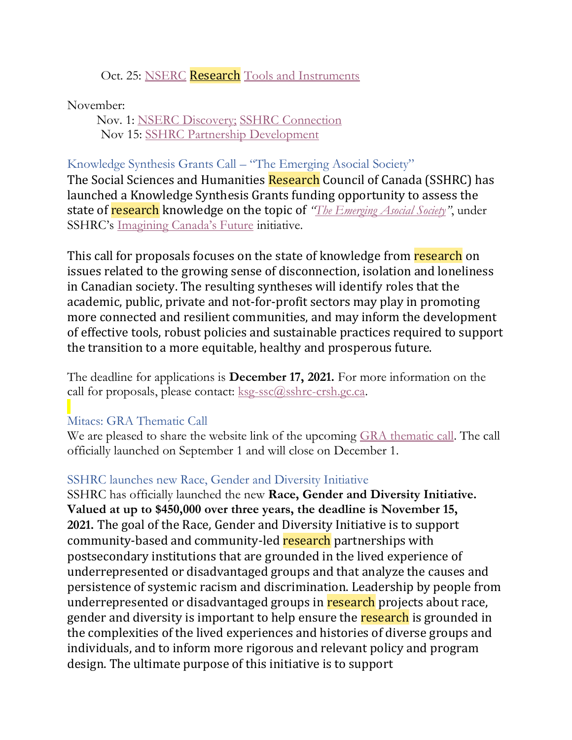#### Oct. 25: NSERC **Research** [Tools and Instruments](https://www.nserc-crsng.gc.ca/Professors-Professeurs/RTII-OIRI/RTI-OIR_eng.asp)

November:

 Nov. 1: [NSERC Discovery;](https://www.nserc-crsng.gc.ca/Professors-Professeurs/Grants-Subs/DGIGP-PSIGP_eng.asp) [SSHRC Connection](https://www.sshrc-crsh.gc.ca/funding-financement/programs-programmes/connection_grants-subventions_connexion-eng.aspx) Nov 15: [SSHRC Partnership Development](https://www.sshrc-crsh.gc.ca/funding-financement/programs-programmes/partnership_development_grants-subventions_partenariat_developpement-eng.aspx)

#### Knowledge Synthesis Grants Call – "The Emerging Asocial Society"

The Social Sciences and Humanities Research Council of Canada (SSHRC) has launched a Knowledge Synthesis Grants funding opportunity to assess the state of research knowledge on the topic of *"[The Emerging Asocial Society](https://can01.safelinks.protection.outlook.com/?url=https%3A%2F%2Fwww.sshrc-crsh.gc.ca%2Ffunding-financement%2Fprograms-programmes%2Fksg_asocial_society-ssc_societe_asociale-eng.aspx&data=04%7C01%7CPPOD-DPOP%40SSHRC-CRSH.GC.CA%7C68a060fb49364800f49f08d96e1e657b%7Cfbef079820e34be7bdc8372032610f65%7C1%7C0%7C637661899089622565%7CUnknown%7CTWFpbGZsb3d8eyJWIjoiMC4wLjAwMDAiLCJQIjoiV2luMzIiLCJBTiI6Ik1haWwiLCJXVCI6Mn0%3D%7C1000&sdata=Z%2FL4CyM5kROljwNtt5EhbxPWIqvNx1sm7E2SFPspI9A%3D&reserved=0)"*, under SSHRC's [Imagining Canada's Future](https://can01.safelinks.protection.outlook.com/?url=https%3A%2F%2Fwww.sshrc-crsh.gc.ca%2Fsociety-societe%2Fcommunity-communite%2FImagining_Canadas_Future-Imaginer_l_avenir_du_Canada-eng.aspx&data=04%7C01%7CPPOD-DPOP%40SSHRC-CRSH.GC.CA%7C68a060fb49364800f49f08d96e1e657b%7Cfbef079820e34be7bdc8372032610f65%7C1%7C0%7C637661899089632509%7CUnknown%7CTWFpbGZsb3d8eyJWIjoiMC4wLjAwMDAiLCJQIjoiV2luMzIiLCJBTiI6Ik1haWwiLCJXVCI6Mn0%3D%7C1000&sdata=sgWB3C12NjQt8uNGubT%2FHAMFUWqMJ%2Bc%2FjMExRiN5TX4%3D&reserved=0) initiative.

This call for proposals focuses on the state of knowledge from research on issues related to the growing sense of disconnection, isolation and loneliness in Canadian society. The resulting syntheses will identify roles that the academic, public, private and not-for-profit sectors may play in promoting more connected and resilient communities, and may inform the development of effective tools, robust policies and sustainable practices required to support the transition to a more equitable, healthy and prosperous future.

The deadline for applications is **December 17, 2021.** For more information on the call for proposals, please contact: [ksg-ssc@sshrc-crsh.gc.ca.](/ottanvdifs01/VDI_UserData/lxc/AppData/Roaming/OpenText/OTEdit/EC_cs971/c52554283/mailto_ksg-ssc@sshrc-crsh.gc.ca)

#### Mitacs: GRA Thematic Call

We are pleased to share the website link of the upcoming [GRA thematic call.](https://www.mitacs.ca/en/programs/globalink/globalink-thematic-call) The call officially launched on September 1 and will close on December 1.

#### SSHRC launches new Race, Gender and Diversity Initiative

SSHRC has officially launched the new **Race, Gender and Diversity Initiative. Valued at up to \$450,000 over three years, the deadline is November 15, 2021.** The goal of the Race, Gender and Diversity Initiative is to support community-based and community-led research partnerships with postsecondary institutions that are grounded in the lived experience of underrepresented or disadvantaged groups and that analyze the causes and persistence of systemic racism and discrimination. Leadership by people from underrepresented or disadvantaged groups in research projects about race, gender and diversity is important to help ensure the research is grounded in the complexities of the lived experiences and histories of diverse groups and individuals, and to inform more rigorous and relevant policy and program design. The ultimate purpose of this initiative is to support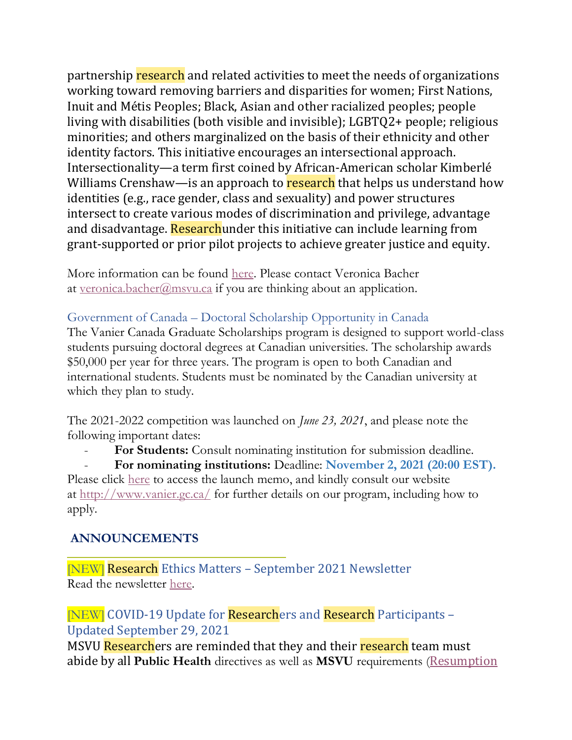partnership research and related activities to meet the needs of organizations working toward removing barriers and disparities for women; First Nations, Inuit and Métis Peoples; Black, Asian and other racialized peoples; people living with disabilities (both visible and invisible); LGBTQ2+ people; religious minorities; and others marginalized on the basis of their ethnicity and other identity factors. This initiative encourages an intersectional approach. Intersectionality—a term first coined by African-American scholar Kimberlé Williams Crenshaw—is an approach to research that helps us understand how identities (e.g., race gender, class and sexuality) and power structures intersect to create various modes of discrimination and privilege, advantage and disadvantage. Researchunder this initiative can include learning from grant-supported or prior pilot projects to achieve greater justice and equity.

More information can be found [here.](https://www.sshrc-crsh.gc.ca/funding-financement/programs-programmes/rgdi-irgd-eng.aspx) Please contact Veronica Bacher at [veronica.bacher@msvu.ca](mailto:veronica.bacher@msvu.ca) if you are thinking about an application.

#### Government of Canada – Doctoral Scholarship Opportunity in Canada

The Vanier Canada Graduate Scholarships program is designed to support world-class students pursuing doctoral degrees at Canadian universities. The scholarship awards \$50,000 per year for three years. The program is open to both Canadian and international students. Students must be nominated by the Canadian university at which they plan to study.

The 2021-2022 competition was launched on *June 23, 2021*, and please note the following important dates:

- **For Students:** Consult nominating institution for submission deadline.

- **For nominating institutions:** Deadline: **November 2, 2021 (20:00 EST).** Please click [here](https://vanier.gc.ca/en/news-nouv_2021-22.html) to access the launch memo, and kindly consult our website at <http://www.vanier.gc.ca/> for further details on our program, including how to apply.

#### **ANNOUNCEMENTS**

[NEW] Research Ethics Matters – September 2021 Newsletter Read the newsletter [here.](https://www.msvu.ca/research-at-the-mount/research-ethics/research-ethics-communications/)

[NEW] COVID-19 Update for Researchers and Research Participants – Updated September 29, 2021

MSVU Researchers are reminded that they and their research team must abide by all **Public Health** directives as well as **MSVU** requirements ([Resumption](https://www.msvu.ca/research-at-the-mount/research-ethics/covid-19-research-information/)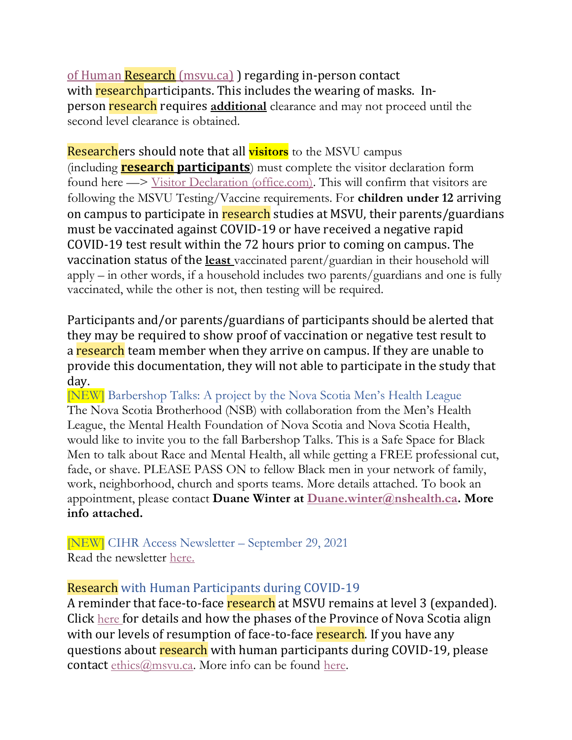of Human Research [\(msvu.ca\)](https://www.msvu.ca/research-at-the-mount/research-ethics/covid-19-research-information/) regarding in-person contact with research participants. This includes the wearing of masks. Inperson research requires **additional** clearance and may not proceed until the second level clearance is obtained.

Researchers should note that all **visitors** to the MSVU campus (including **research participants**) must complete the visitor declaration form found here —> [Visitor Declaration \(office.com\).](https://forms.office.com/pages/responsepage.aspx?id=cF4Z0V-78UOJAks_bPxJxj4IfPYrNZJNo2U2F_DsBk5UN01RODRYVUtIN1YxVElENEhVM1lZQ1dRTyQlQCN0PWcu) This will confirm that visitors are following the MSVU Testing/Vaccine requirements. For **children under 12** arriving on campus to participate in research studies at MSVU, their parents/guardians must be vaccinated against COVID-19 or have received a negative rapid COVID-19 test result within the 72 hours prior to coming on campus. The vaccination status of the **least** vaccinated parent/guardian in their household will apply – in other words, if a household includes two parents/guardians and one is fully vaccinated, while the other is not, then testing will be required.

Participants and/or parents/guardians of participants should be alerted that they may be required to show proof of vaccination or negative test result to a research team member when they arrive on campus. If they are unable to provide this documentation, they will not able to participate in the study that day.

[NEW] Barbershop Talks: A project by the Nova Scotia Men's Health League The Nova Scotia Brotherhood (NSB) with collaboration from the Men's Health League, the Mental Health Foundation of Nova Scotia and Nova Scotia Health, would like to invite you to the fall Barbershop Talks. This is a Safe Space for Black Men to talk about Race and Mental Health, all while getting a FREE professional cut, fade, or shave. PLEASE PASS ON to fellow Black men in your network of family, work, neighborhood, church and sports teams. More details attached. To book an appointment, please contact **Duane Winter at [Duane.winter@nshealth.ca.](mailto:Duane.winter@nshealth.ca) More info attached.**

[NEW] CIHR Access Newsletter – September 29, 2021 Read the newsletter [here.](https://suivi.lnk01.com/v/443/a1bc484810dc224662966b0f2950dbce79325a73bc5e282e)

#### Research with Human Participants during COVID-19

A reminder that face-to-face research at MSVU remains at level 3 (expanded). Click [here](https://www.msvu.ca/wp-content/uploads/2021/07/Current-COVID-Research-Status-July-14-2021.pdf) for details and how the phases of the Province of Nova Scotia align with our levels of resumption of face-to-face research. If you have any questions about research with human participants during COVID-19, please contact [ethics@msvu.ca.](mailto:ethics@msvu.ca) More info can be found [here.](https://www.msvu.ca/research-at-the-mount/research-ethics/covid-19-research-information/)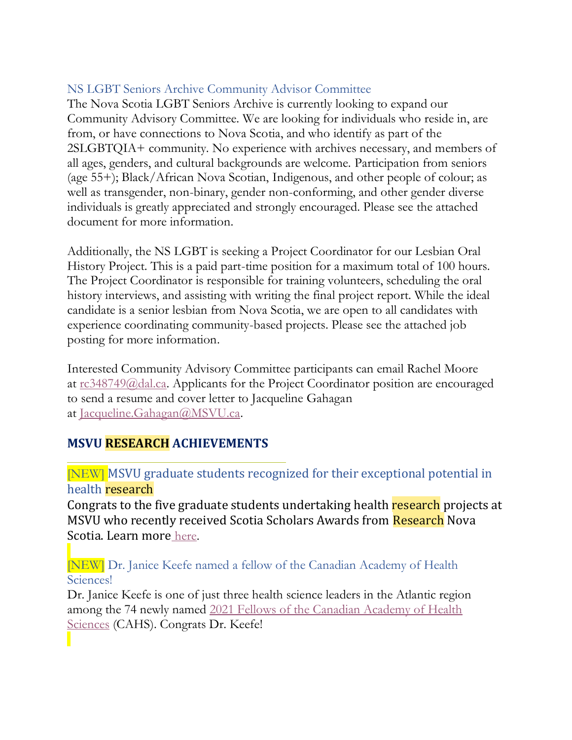#### NS LGBT Seniors Archive Community Advisor Committee

The Nova Scotia LGBT Seniors Archive is currently looking to expand our Community Advisory Committee. We are looking for individuals who reside in, are from, or have connections to Nova Scotia, and who identify as part of the 2SLGBTQIA+ community. No experience with archives necessary, and members of all ages, genders, and cultural backgrounds are welcome. Participation from seniors (age 55+); Black/African Nova Scotian, Indigenous, and other people of colour; as well as transgender, non-binary, gender non-conforming, and other gender diverse individuals is greatly appreciated and strongly encouraged. Please see the attached document for more information.

Additionally, the NS LGBT is seeking a Project Coordinator for our Lesbian Oral History Project. This is a paid part-time position for a maximum total of 100 hours. The Project Coordinator is responsible for training volunteers, scheduling the oral history interviews, and assisting with writing the final project report. While the ideal candidate is a senior lesbian from Nova Scotia, we are open to all candidates with experience coordinating community-based projects. Please see the attached job posting for more information.

Interested Community Advisory Committee participants can email Rachel Moore at [rc348749@dal.ca.](mailto:rc348749@dal.ca) Applicants for the Project Coordinator position are encouraged to send a resume and cover letter to Jacqueline Gahagan at [Jacqueline.Gahagan@MSVU.ca.](mailto:Jacqueline.Gahagan@MSVU.ca)

## **MSVU RESEARCH ACHIEVEMENTS**

#### [NEW] MSVU graduate students recognized for their exceptional potential in health research

Congrats to the five graduate students undertaking health research projects at MSVU who recently received Scotia Scholars Awards from Research Nova Scotia. Learn more [here.](https://msvu.ca/msvu-graduate-students-recognized-for-their-exceptional-potential-in-health-research/)

[NEW] Dr. Janice Keefe named a fellow of the Canadian Academy of Health Sciences!

Dr. Janice Keefe is one of just three health science leaders in the Atlantic region among the 74 newly named [2021 Fellows of the Canadian Academy of Health](https://cahs-acss.ca/seventy-four-new-fellows-elected-into-the-canadian-academy-of-health-sciences/)  [Sciences](https://cahs-acss.ca/seventy-four-new-fellows-elected-into-the-canadian-academy-of-health-sciences/) (CAHS). Congrats Dr. Keefe!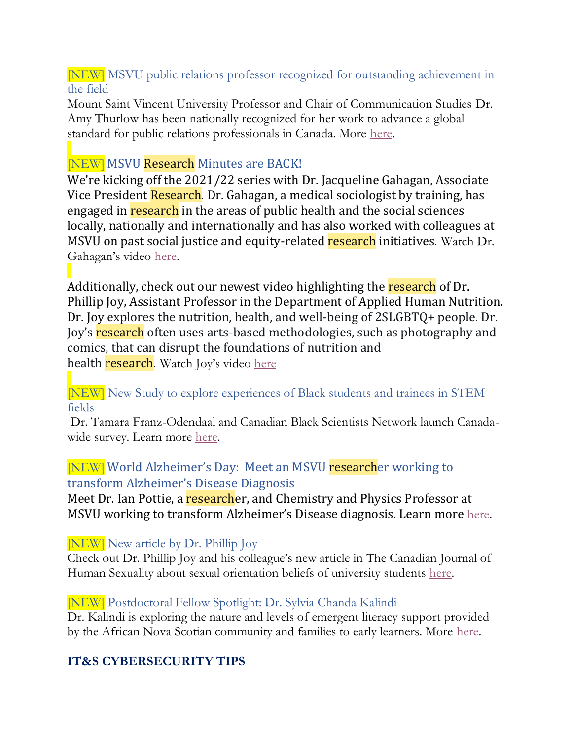[NEW] MSVU public relations professor recognized for outstanding achievement in the field

Mount Saint Vincent University Professor and Chair of Communication Studies Dr. Amy Thurlow has been nationally recognized for her work to advance a global standard for public relations professionals in Canada. More [here.](https://www.msvu.ca/msvu-public-relations-professor-recognized-for-outstanding-achievement-in-the-field/)

## **NEW** MSVU Research Minutes are BACK!

We're kicking off the 2021/22 series with Dr. Jacqueline Gahagan, Associate Vice President Research. Dr. Gahagan, a medical sociologist by training, has engaged in research in the areas of public health and the social sciences locally, nationally and internationally and has also worked with colleagues at MSVU on past social justice and equity-related research initiatives. Watch Dr. Gahagan's video [here.](https://www.msvu.ca/research-at-the-mount/about-us/research-communications-at-msvu/)

Additionally, check out our newest video highlighting the research of Dr. Phillip Joy, Assistant Professor in the Department of Applied Human Nutrition. Dr. Joy explores the nutrition, health, and well-being of 2SLGBTQ+ people. Dr. Joy's research often uses arts-based methodologies, such as photography and comics, that can disrupt the foundations of nutrition and health **research**. Watch Joy's video [here](https://www.msvu.ca/research-at-the-mount/about-us/research-communications-at-msvu/)

#### [NEW] New Study to explore experiences of Black students and trainees in STEM fields

Dr. Tamara Franz-Odendaal and Canadian Black Scientists Network launch Canadawide survey. Learn more [here.](https://www.msvu.ca/new-study-to-explore-experiences-of-black-students-and-trainees-in-stemm-fields/)

## [NEW] World Alzheimer's Day: Meet an MSVU researcher working to transform Alzheimer's Disease Diagnosis

Meet Dr. Ian Pottie, a researcher, and Chemistry and Physics Professor at MSVU working to transform Alzheimer's Disease diagnosis. Learn more [here.](https://msvu.ca/world-alzheimers-day-meet-an-msvu-researcher-working-to-transform-alzheimers-disease-diagnosis/)

[NEW] New article by Dr. Phillip Joy

Check out Dr. Phillip Joy and his colleague's new article in The Canadian Journal of Human Sexuality about sexual orientation beliefs of university students [here.](https://utpjournals.press/doi/10.3138/cjhs.2020-0053)

## [NEW] Postdoctoral Fellow Spotlight: Dr. Sylvia Chanda Kalindi

Dr. Kalindi is exploring the nature and levels of emergent literacy support provided by the African Nova Scotian community and families to early learners. More [here.](https://bit.ly/3yZ48VO)

## **IT&S CYBERSECURITY TIPS**